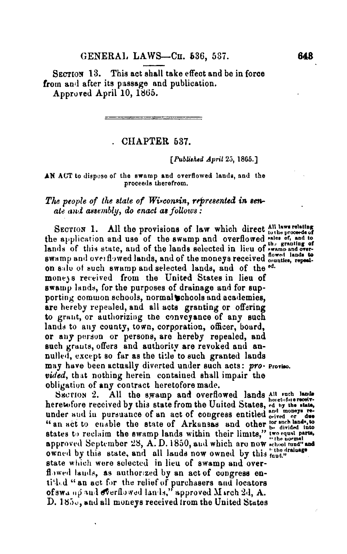SECTION 13. This act shall take effect and be in force from and after its passage and publication. Approved April 10, 1865.

• CHAPTER 637.

*[Published* April 25, 1865.]

## **AN** ACT to dispose of the swamp and overflowed lands, and the proceeds therefrom.

## *The people of the stale of Wisconsin, represented in senate and assembly, do enact as follows :*

SECTION 1. All the provisions of law which direct All laws relating the application and use of the swamp and overflowed *this of*, and to lands of this state, and of the lands selected in lieu of *symme and over*swamp and overflowed lands, and of the moneys received **flowed** lands to on sale of such swamp and selected lands, and of the **ed**  moneys received from the United States in lieu of swamp lands, for the purposes of drainage and for supporting common schools, normal chools and academies, are hereby repealed, and all acts granting or offering to grant, or authorizing the conveyance of any such lands to any county, town, corporation, officer, board, or any person or persons, are hereby repealed, and such grants, offers and authority are revoked and annulled, except so far as the title to such granted lands may have been actually diverted under such acts: pro- Proviso. *vided,* that nothing herein contained shall impair the obligation of any contract heretofore made.

SECTION 2. All the swamp and overflowed lands All such lands heretofore received by this state from the United States, ed by the state, under and in pursuance of an act of congress entitled  $_{\text{circle}}^{\text{int}}$  or des "<br>" an act to enable the state of Arkansas and other for divided into<br>s approved September 28, A.D.1850, and which are now **«chool tund" at**<br>owned by this state, and all lands now owned by this *tund."* state which were selected in lieu of swamp and overflowed lands, as authorized by an act of congress entitled "an act for the relief of purchasers and locators of swa no and overflowed lands," approved M irch 2d, A. D. 185., and all moneys received from the United States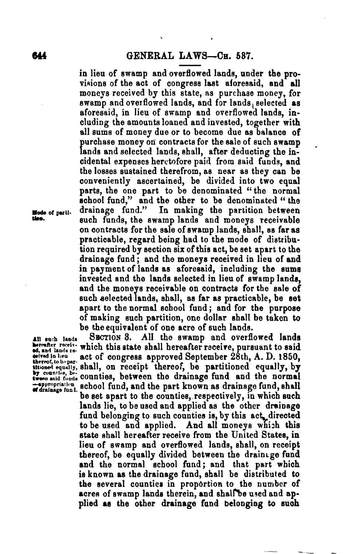**in lieu of swamp and overflowed lands, under the provisions of the act of congress last aforesaid, and all moneys received by this state, as purchase money, for swamp and overflowed lands, and for lands selected as aforesaid, in lieu of swamp and overflowed lands, including the amounts loaned and invested, together with all sums of money due or to become due as balance of purchase money on contracts for the sale of such swamp**  lands and selected lands, shall, after deducting the in**cidental expenses heretofore paid from said funds, and the losses sustained therefrom, as near as they can be conveniently ascertained, be divided into two equal**  parts, the one part to be denominated "the normal **school fund," and the other to be denominated "the Node of pant. drainage fund." In making the partition between U. such funds, the swamp lands and moneys receivable on contracts for the sale of swamp lands, shall, as far as practicable, regard being had to the mode of distribution required by section six of this act, be set apart to the drainage fund ; and the moneys received in lieu of and in payment of lands as aforesaid, including the sums invested and the lands selected in lieu of swamp lands, and the moneys receivable on contracts for the sale of such selected lands, shall, as far as practicable, be set apart to the normal school fund ; and for the purpose of making such partition, one dollar shall be taken to be the equivalent of one acre of such lands.** 

**All ouch lauds SECTION 3. All the swamp and overflowed lands**  betrafter receiv- which this state shall hereafter receive, pursuant to said **ceived In lieu act of congress approved September 28th, A. D. 1850, thereof, to b par. Mimed M equal I y, shall, on recei pt thereof, be partitioned equally, by buttioned equally, shall, on receipt thereof, be partitioned equally, by by** counties, between the drainage fund and the normal **individe**  $\leftarrow$  appropriation, school fund, and the part known as drainage fund, shall **be set apart to the counties, respectively, in which such lands lie, to be used and applied as the other drainage**  fund belonging to such counties is, by this act, directed **to be used and applied. And all moneys whizh this state shall hereafter receive from the United States, in lieu of swamp and overflowed lands, shall, on receipt**  thereof, be equally divided between the drainage fund and the normal school fund; and that part which **is known as the drainage fund, shall be distributed to the several counties in proportion to the number of acres of swamp lands therein, and shalrbe used and applied as the other drainage fund belonging to such**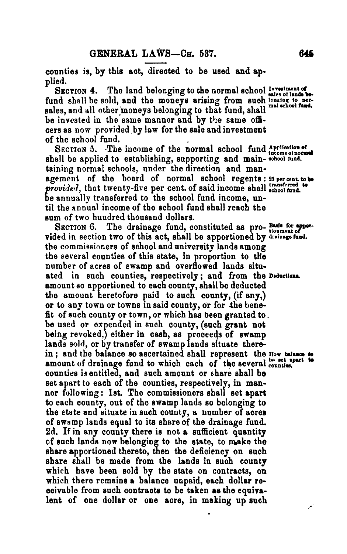**counties is, by this act, directed to be used and applied.** 

SECTION 4. The land belonging to the normal school Investment of also is lands be fund shall be sold, and the moneys arising from such longing to norsales, and all other moneys belonging to that fund, shall mal school **be invested in the same manner and by the same officers as now provided by law for the sale and investment of the school fund.** 

SECTION 5. The income of the normal school fund Application of **shall be applied to establishing, supporting and main- school fund.**  taining normal schools, under the direction and man**agement of the board of normal school regents : 25 per cent. to be**  provided, that twenty-five per cent. of said income shall school fund. **be annually transferred to the school fund income, until the** annual **income of the school fund shall reach the sum of two hundred thousand dollars.** 

SECTION 6. The drainage fund, constituted as pro- Basis for apporvided in section two of this act, shall be apportioned by drainage fand. **the** commissioners **of school and university lands among the several counties of this state, in proportion to the number of acres of swamp and overflowed lands situated in such counties, respectively ; and from the Deduction,. amount so apportioned to each county, shall be deducted the amount heretofore paid to such county, (if any,) or to any town or towns in said county, or for the benefit of such county or town, or which has been granted to. be** used **or expended in such county, (such grant not being revoked,) either in cash, as proceeds of swamp lands sold, or by transfer of swamp lands situate there**in ; and the balance so ascertained shall represent the **How** balance to amount of drainage fund to which each of the several **counties**. **counties i3 entitled, and such amount or share shall be set apart to each of the counties, respectively, in manner following: 1st. The commissioners shall set apart to each county, out of the swamp lands so belonging to the state and situate in such county, a number of acres of swamp lands equal to its share of the drainage fund. 2d. If in any county there is not a sufficient quantity**  of such lands now belonging to the state, to make the **share apportioned thereto, then the deficiency on such share shall be made from the lands in such county which have been sold by the state on contracts, on which there remains a balance unpaid, each dollar receivable from such contracts to be taken as the equivalent of one dollar or one acre, in making up such**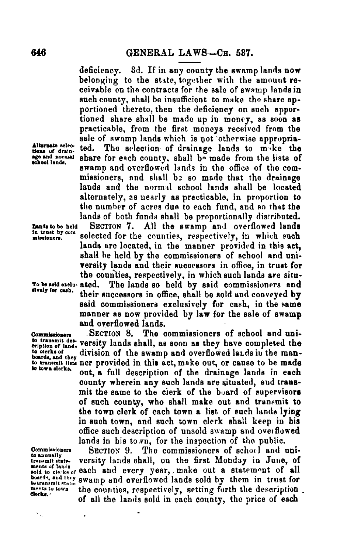deficiency. 3d. If in any county the swamp lands now belonging to the state, together with the amount receivable on the contracts for the sale of swamp lands in such county, shall be insufficient to make the share apportioned thereto, then the deficiency on such apportioned share shall be made up in money, **88** soon as practicable, from the first moneys received from the sale of swamp lands which is not otherwise appropriated. The selection of drainage lands to m ke the age and normal share for each county, shall be made from the lists of school lands. swamp and overflowed lands in the office of the commissioners, and shall b2 so made that the drainage lands and the normal school lands shall be located alternately, as nearly as practicable, in proportion to the number of acres due to each fund, and so that the lands of both funds shall be proportionally distributed. **WA. to be held SECTION** 7. All the swamp and overflowed **lands**  selected for the counties, respectively, in which such lands are located, in the manner provided in this act. shall be held by the commissioners of school and university lands and their successors in office, in trust for the counties, respectively, in which such lands are situ-<br>To be seld exclu- ated. The lands so held by said commissioners and **To be sold exelu-** ated. The lands so held by said commissioners **and lively for cash,** their successors in office, shall be sold and conveyed by said commissioners exclusively for cash, in the same manner as now provided by law for the sale of swamp and overflowed lands.

Commissioners SECTION 8. The commissioners of school and unito transmit des-<br>
oription of land, versity lands shall, as soon as they have completed the<br>
<sup>to dierks of division of the swamp and overflowed lands in the man-</sup> **to clerks of** division of the swamp and overflowed leas in the **man- boards, and they**  to transmit lists her provided in this act, make out, or cause to be made to town elerks.<br> **be town elerks.** out, a full description of the drainage lands in each county wherein any such lands are situated, and transmit the same to the cierk of the board of supervisors of such county, who shall make out and transmit to the town clerk of each town a list of such lands *lying*  in such town, and such town clerk shall keep in his office such description of unsold swamp and overflowed

lands in his to *ND*, for the inspection of the public.<br>SECTION 9. The commissioners of school and uni-**Commissioners SECTION 9.** The commissioners of school and unit-<br>transmit state. versity lands shall, on the first Monday in June, of<br>ments of hads and annual annual more make out a student of all mouts of lands of each and every year, make out a statement of all boards, and they swamp and overflowed lands sold by them in trust for **totranimit state.** Swamp and overhowed family sold by them in trust for of all the lands sold in each county, the price of **each** 

**Alternate selections of drain-**<br>age and normal

**in trust by com** 

cription of lands

**Monts to tOWu** 

.

 $\gamma_{\rm eq}$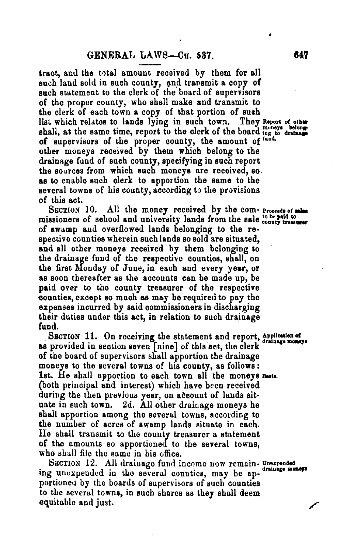**tract, and the total amount received by them for all**  such land sold in such county, and transmit a copy of **such statement to the clerk of the board of supervisors of the proper county, who shall make and transmit to the clerk of each town a copy of that portion of suah**  list which relates to lands lying in such town. They *Report of other* shall, at the same time, report to the clerk of the board ing to drainant of supervisors of the proper county, the amount of <sup>fand.</sup> **other moneys received by them which belong to the drainage fund of such county, specifying in such report the sources from which such moneys are received, so. as to enable such clerk to apportion the same to the several towns of his county, according to the provisions of this act.** 

SECTION 10. All the money received by the com- Proceeds of mans missioners of school and university lands from the sale to be paid to **of swamp and overflowed lands belonging to the respective counties wherein such lands so sold are situated, and all other moneys received by them belonging to the drainage fund of the respective counties, shall, on the first Monday of June, in each and every year, or as soon thereafter as the accounts can be made up, be paid over to the county treasurer of the respective counties, except so much as may be required to pay the expenses incurred by said commissioners in discharging their duties under this act, in relation to such drainage fund.** 

SECTION 11. On receiving the statement and report, Application of **as provided in section seven [nine] of this act, the clerk of the board of supervisors shall apportion the drainage moneys to the several towns of his county, as follows :**  1st. He shall apportion to each town all the moneys Basis. **(both principal and interest) which have been received during the then previous year, on ateount of lands situate in such town. 2d. All other drainage moneys he shall apportion among the several towns, according to the number of acres of swamp lands situate in each. He shall transmit to the county treasurer a statement of the amounts so apportioned to the several towns, who shall file the same in his office.** 

SECTION 12. All drainage fund income now remain- Unexpended<br>ing unexpended in the several counties, may be ap**portioneu by the boards of supervisors of such counties to the several towns, in such shares as they shall deem equitable and just.**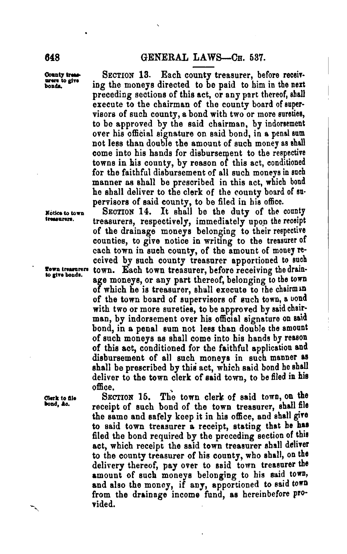**County bear**  uren to give **bonds.** 

**SECTION 13. Each county treasurer, before receiving the moneys directed to be paid to him in the next preceding sections of this act, or any part thereof, shall execute to the chairman of the county board of supervisors of such county, a bond with two or more sureties, to be approved by the said chairman, by indorsement over his official signature on said bond, in a penal sum not less than double the amount of such money as shall**  come into his hands for disbursement to the respective **towns in his county, by reason of this act, conditioned for the faithful disbursement of all such moneys in such manner as shall be prescribed in this act, which bond he shall deliver to the clerk of the county board of supervisors of said county, to be filed in his office.** 

**SECTION 14. It shall be the duty of the county treasurers, respectively, immediately upon the receipt of the drainage moneys belonging to their respective counties, to give notice in writing to the treasurer of each town in such county, of the amount of money received by such county treasurer apportioned to such town. Each town treasurer, before receiving the drainage moneys, or any part thereof, belonging to the town of which he is treasurer, shall execute to the chairmin of the town board of supervisors of such town, a uond with two or more sureties, to be approved by said chairman, by indorsement over his official signature on said bond, in a penal sum not less than double the amount of such moneys as shall come into his hands by reason of this act, conditioned for the faithful application and disbursement of all such moneys in such manner as shall be prescribed by thisi act, which said bond he shall deliver to the town clerk of said town, to be filed in his office.** 

SECTION 15. The town clerk of said town, on the **receipt of such bond of the town treasurer, shall file the same and safely keep it in his office, and shall give to said town treasurer a receipt, stating that he has filed the bond required by the preceding section of this act, which receipt the said town treasurer shall deliver to the county treasurer of his county, who shall, on the delivery thereof, pay over to said town treasurer the**  amount of such moneys belonging to his said town, **and also the money, if any, apportioned to said town from the drainage income fund, as hereinbefore provided.** 

**Notice to town treasurers.** 

**Town treasurers to gtve bonds.** 

**Clerk to Ste bond, &o.**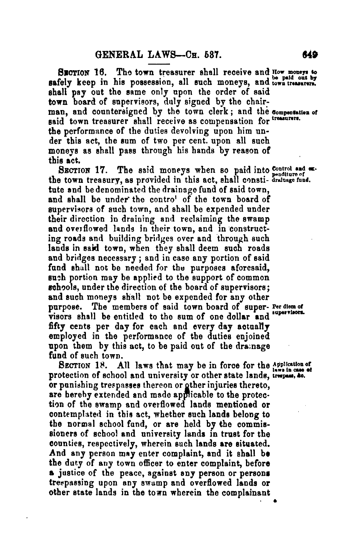**SECTION 16.** The town treasurer shall receive and How moneys to **safely** keep in his possession, all such moneys, and town treasurers, **shall pay out the same only upon the order of said town board of supervisors, duly signed by the chair**man, and countersigned by the town clerk; and the compensation of said town treasurer shall receive as compensation for treasurers. **the performance of the duties devolving upon him under this act, the sum of two per cent. upon all such moneys as shall pass through his hands by reason of this act.** 

**SECTION 17.** The said moneys when so paid into control and oxthe town treasury, as provided in this act, shall consti- drabage fund. **tute and be denominated the drainage fund of said town, and shall be under the contro' of the town board of supervisors of such town, and shall be expended under their direction in draining and reclaiming the swamp and overflowed lands in their town, and in constructing roads and building bridges over and through such lands in said town, when they shall deem such roads and bridges necessary ; and in case any portion of said fund shall not be needed for the purposes aforesaid, such portion may be applied to the support of common schools, under the direction of the board of supervisors; and such moneys shall not be expended for any other**  purpose. The members of said town board of super- Per diem of visors shall be entitled to the sum of one dollar and supervisors. **fifty cents per day for each and every day actually employed in the performance of the duties enjoined upon them by this act, to be paid out of the dramage fund of such town.** 

SECTION 18. All laws that may be in force for the Application of protection of school and university or other state lands, trespass, to. **or punishing trespasses thereon or gther injuries thereto, are hereby extended and made applicable to the protection of the swamp and overflowed lands mentioned or contemplated in this act, whether such lands belong to the normal school fund, or are held by the commissioners of school and university lands in trust for the counties, respectively, wherein such lands are situated. And any person may enter complaint, and it shall be the duty of any town officer to enter complaint, before justice of the peace, against any person or persons trespassing upon any swamp and overflowed lands or other state lands in the town wherein the complainant** 

**•**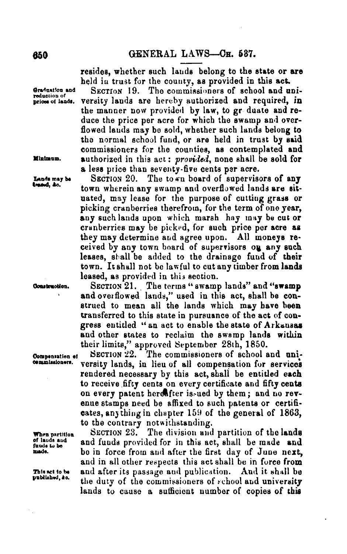resides, whether such lands belong to the state or are held in trust for the county, as provided in this act.

Graduation and **SECTION 19.** The commissioners of school and uni-<br>reduction of ands. versity lands are hereby authorized and required, in versity lands are hereby authorized and required, in the manner now provided by law, to gr duate and reduce the price per acre for which the swamp and overflowed lauds may be sold, whether such lands belong to the normal school fund, or are held in trust by said commissioners for the counties, as contemplated **and Minimum.** authorized in this act : provided, none shall be sold for a less price than seventy-five cents per acre.

Lands may be **SECTION 20.** The town board of supervisors of any **tensed**, ac. town wherein any swamp and overflowed lands are situated, may lease for the purpose of cutting grass or picking cranberries therefrom, for the term of one year, any such lands upon which marsh hay may be cut or cranberries may be picked, for such price per acre **as**  they may determine and agree upon. All moneys received by any town board of supervisors on any such leases, shall be added to the drainage fund of their town. **It** shall not be lawful to cut any timber from **lands**  leased, as provided in this section.

**Clonstradion. SECTION** 21. . The terms "swamp lands" and **"swamp**  and overflowed lands," used in this act, shall be construed to mean all the lands which may have been transferred to this state in pursuance of the act of congress entitled "an act to enable the state of Arkansas and other states to reclaim the swamp lands within their limits," approved September 28th, 1850.<br>SECTION 22. The commissioners of school a

**Componsation el SECTION 22. The commissioners of school and uni-<br>
<b>Commissioners**, versity lands, in lieu of all compensation for services versity lands, in lieu of all compensation for services rendered necessary by this act, shall be entitled each to receive fifty cents on every certificate and fifty cents on every patent heretfrer is-ued by them; and no revenue stamps need be affixed to such patents or certificates, any thing in chapter 159 of the general of 1863, to the contrary notwithstanding.<br>SECTION 23. The division and

When partition SECTION 23. The division and partition of the lands<br>of lauds and and funds provided for in this act, shall, he made, and **of lauds and** and funds provided for in this act, shall be made **and thuds to be**  be in force from and after the first day of June next, and in all other respects this act shall be in force from This set to be and after its passage and publication. And it shall be published, so. the during of the commission are of unkerland in interesting the duty of the commissioners of school and university lands to cause a sufficient number of copies of this